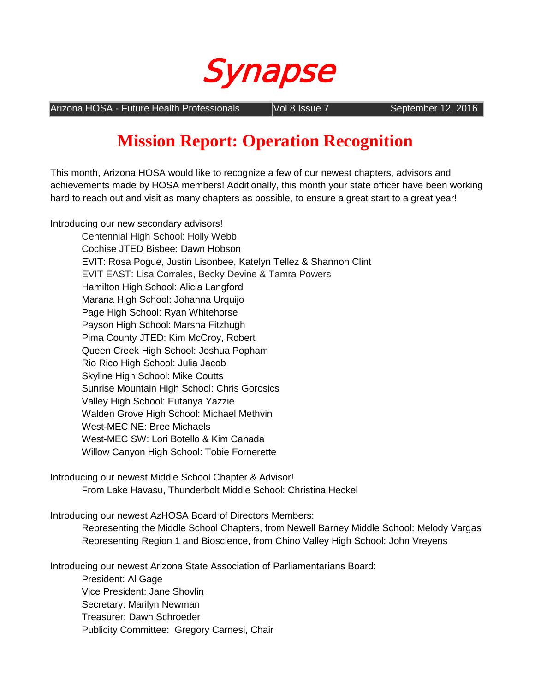# Synapse

Arizona HOSA - Future Health Professionals  $\blacksquare$  Vol 8 Issue 7 September 12, 2016

### **Mission Report: Operation Recognition**

This month, Arizona HOSA would like to recognize a few of our newest chapters, advisors and achievements made by HOSA members! Additionally, this month your state officer have been working hard to reach out and visit as many chapters as possible, to ensure a great start to a great year!

Introducing our new secondary advisors!

Centennial High School: Holly Webb Cochise JTED Bisbee: Dawn Hobson EVIT: Rosa Pogue, Justin Lisonbee, Katelyn Tellez & Shannon Clint EVIT EAST: Lisa Corrales, Becky Devine & Tamra Powers Hamilton High School: Alicia Langford Marana High School: Johanna Urquijo Page High School: Ryan Whitehorse Payson High School: Marsha Fitzhugh Pima County JTED: Kim McCroy, Robert Queen Creek High School: Joshua Popham Rio Rico High School: Julia Jacob Skyline High School: Mike Coutts Sunrise Mountain High School: Chris Gorosics Valley High School: Eutanya Yazzie Walden Grove High School: Michael Methvin West-MEC NE: Bree Michaels West-MEC SW: Lori Botello & Kim Canada Willow Canyon High School: Tobie Fornerette

Introducing our newest Middle School Chapter & Advisor! From Lake Havasu, Thunderbolt Middle School: Christina Heckel

Introducing our newest AzHOSA Board of Directors Members:

Representing the Middle School Chapters, from Newell Barney Middle School: Melody Vargas Representing Region 1 and Bioscience, from Chino Valley High School: John Vreyens

Introducing our newest Arizona State Association of Parliamentarians Board:

President: Al Gage Vice President: Jane Shovlin Secretary: Marilyn Newman Treasurer: Dawn Schroeder Publicity Committee: Gregory Carnesi, Chair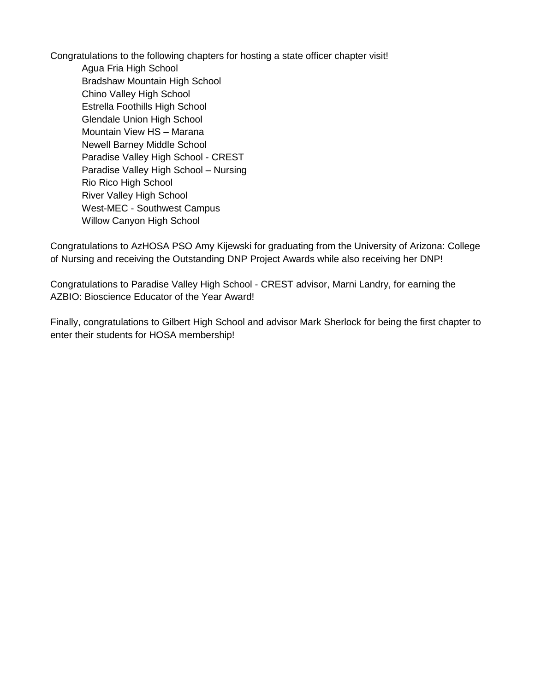Congratulations to the following chapters for hosting a state officer chapter visit!

Agua Fria High School Bradshaw Mountain High School Chino Valley High School Estrella Foothills High School Glendale Union High School Mountain View HS – Marana Newell Barney Middle School Paradise Valley High School - CREST Paradise Valley High School – Nursing Rio Rico High School River Valley High School West-MEC - Southwest Campus Willow Canyon High School

Congratulations to AzHOSA PSO Amy Kijewski for graduating from the University of Arizona: College of Nursing and receiving the Outstanding DNP Project Awards while also receiving her DNP!

Congratulations to Paradise Valley High School - CREST advisor, Marni Landry, for earning the AZBIO: Bioscience Educator of the Year Award!

Finally, congratulations to Gilbert High School and advisor Mark Sherlock for being the first chapter to enter their students for HOSA membership!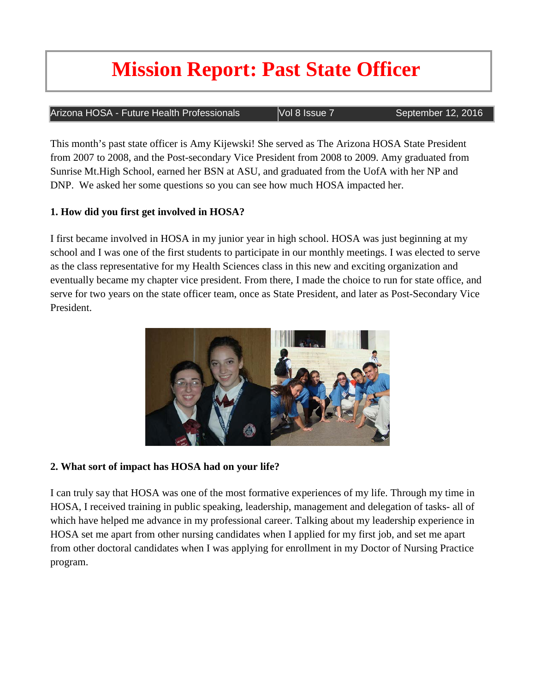## **Mission Report: Past State Officer**

#### Arizona HOSA - Future Health Professionals Vol 8 Issue 7 September 12, 2016

This month's past state officer is Amy Kijewski! She served as The Arizona HOSA State President from 2007 to 2008, and the Post-secondary Vice President from 2008 to 2009. Amy graduated from Sunrise Mt.High School, earned her BSN at ASU, and graduated from the UofA with her NP and DNP. We asked her some questions so you can see how much HOSA impacted her.

#### **1. How did you first get involved in HOSA?**

I first became involved in HOSA in my junior year in high school. HOSA was just beginning at my school and I was one of the first students to participate in our monthly meetings. I was elected to serve as the class representative for my Health Sciences class in this new and exciting organization and eventually became my chapter vice president. From there, I made the choice to run for state office, and serve for two years on the state officer team, once as State President, and later as Post-Secondary Vice President.



#### **2. What sort of impact has HOSA had on your life?**

I can truly say that HOSA was one of the most formative experiences of my life. Through my time in HOSA, I received training in public speaking, leadership, management and delegation of tasks- all of which have helped me advance in my professional career. Talking about my leadership experience in HOSA set me apart from other nursing candidates when I applied for my first job, and set me apart from other doctoral candidates when I was applying for enrollment in my Doctor of Nursing Practice program.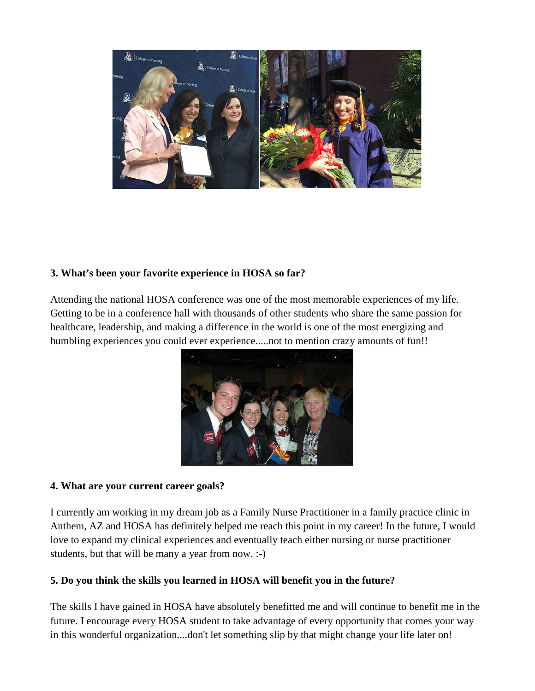

#### **3. What's been your favorite experience in HOSA so far?**

Attending the national HOSA conference was one of the most memorable experiences of my life. Getting to be in a conference hall with thousands of other students who share the same passion for healthcare, leadership, and making a difference in the world is one of the most energizing and humbling experiences you could ever experience.....not to mention crazy amounts of fun!!



#### **4. What are your current career goals?**

I currently am working in my dream job as a Family Nurse Practitioner in a family practice clinic in Anthem, AZ and HOSA has definitely helped me reach this point in my career! In the future, I would love to expand my clinical experiences and eventually teach either nursing or nurse practitioner students, but that will be many a year from now. :-)

#### **5. Do you think the skills you learned in HOSA will benefit you in the future?**

The skills I have gained in HOSA have absolutely benefitted me and will continue to benefit me in the future. I encourage every HOSA student to take advantage of every opportunity that comes your way in this wonderful organization....don't let something slip by that might change your life later on!